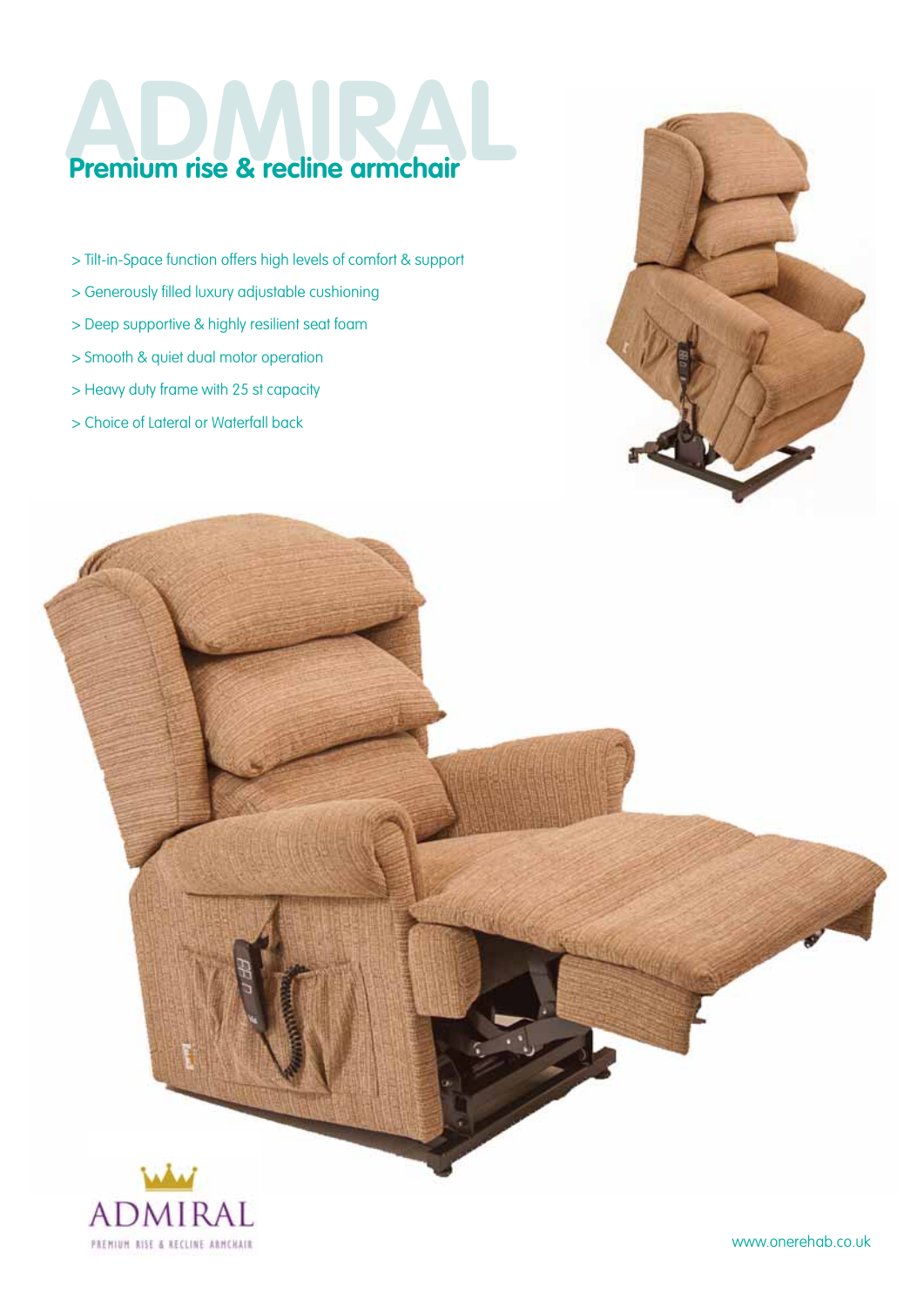## **Premium rise & recline armchair**

- > Tilt-in-Space function offers high levels of comfort & support
- > Generously filled luxury adjustable cushioning
- > Deep supportive & highly resilient seat foam
- > Smooth & quiet dual motor operation
- > Heavy duty frame with 25 st capacity
- > Choice of Lateral or Waterfall back





www.onerehab.co.uk